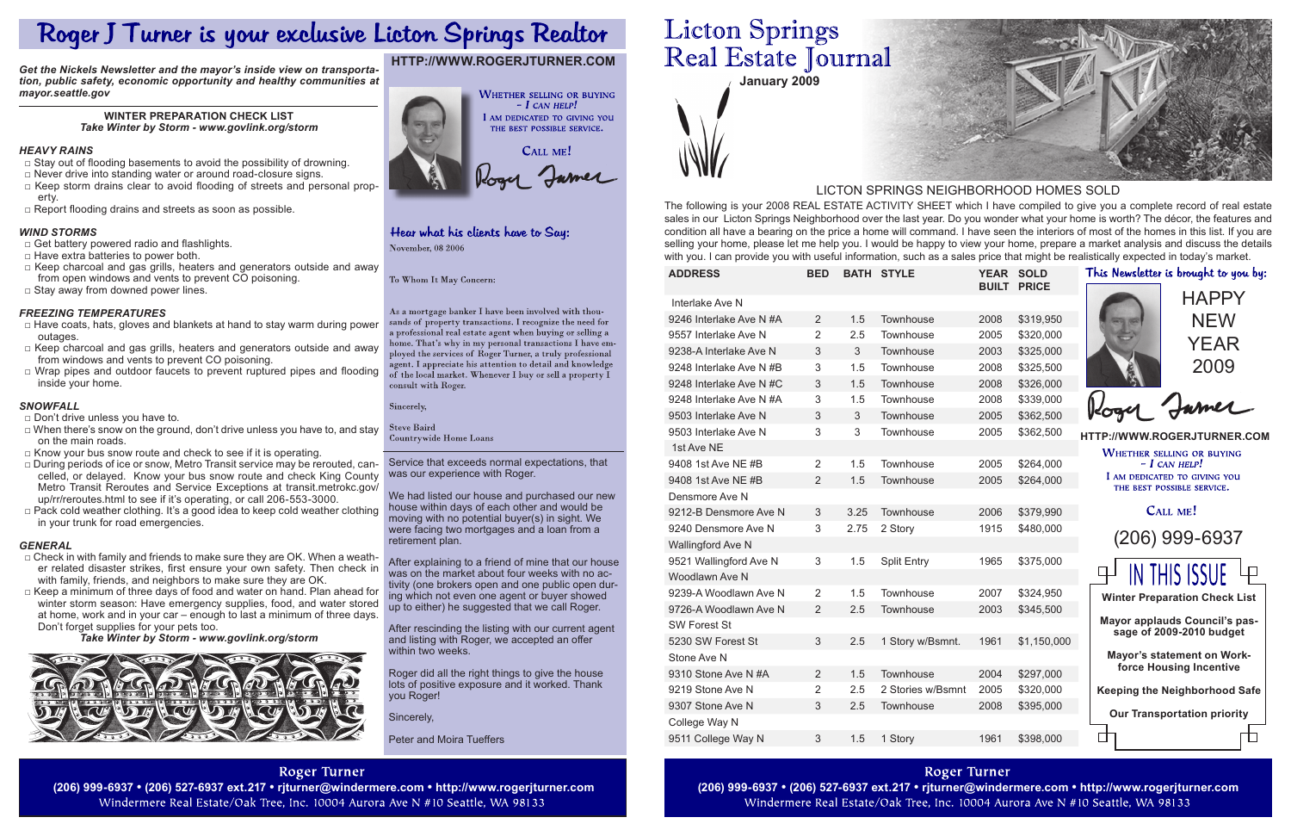**January 2009**

Service that exceeds normal expectations, that was our experience with Roger.

We had listed our house and purchased our new house within days of each other and would be moving with no potential buyer(s) in sight. We were facing two mortgages and a loan from a retirement plan.

After explaining to a friend of mine that our house was on the market about four weeks with no activity (one brokers open and one public open during which not even one agent or buyer showed up to either) he suggested that we call Roger.

- □ Stay out of flooding basements to avoid the possibility of drowning.
- □ Never drive into standing water or around road-closure signs.
- □ Keep storm drains clear to avoid flooding of streets and personal property.
- □ Report flooding drains and streets as soon as possible.

After rescinding the listing with our current agent and listing with Roger, we accepted an offer within two weeks.

Roger did all the right things to give the house lots of positive exposure and it worked. Thank you Roger!

Sincerely,

Peter and Moira Tueffers

# **Roger Turner**

Windermere Real Estate/Oak Tree, Inc. 10004 Aurora Ave N #10 Seattle, WA 98133

# **Licton Springs** Real Estate Journal

The following is your 2008 REAL ESTATE ACTIVITY SHEET which I have compiled to give you a complete record of real estate sales in our Licton Springs Neighborhood over the last year. Do you wonder what your home is worth? The décor, the features and condition all have a bearing on the price a home will command. I have seen the interiors of most of the homes in this list. If you are selling your home, please let me help you. I would be happy to view your home, prepare a market analysis and discuss the details with you. I can provide you with useful information, such as a sales price that might be realistically expected in today's market.

- $\square$  Check in with family and friends to make sure they are OK. When a weather related disaster strikes, first ensure your own safety. Then check in with family, friends, and neighbors to make sure they are OK.
- □ Keep a minimum of three days of food and water on hand. Plan ahead for winter storm season: Have emergency supplies, food, and water stored at home, work and in your car – enough to last a minimum of three days. Don't forget supplies for your pets too.

# LICTON SPRINGS NEIGHBORHOOD HOMES SOLD

**Roger Turner** 

| <b>ADDRESS</b>          | <b>BED</b>     |      | <b>BATH STYLE</b>  |      | YEAR SOLD<br><b>BUILT PRICE</b> | This Newsletter is brought to you by:                      |
|-------------------------|----------------|------|--------------------|------|---------------------------------|------------------------------------------------------------|
| Interlake Ave N         |                |      |                    |      |                                 | <b>HAPPY</b>                                               |
| 9246 Interlake Ave N #A | 2              | 1.5  | Townhouse          | 2008 | \$319,950                       | <b>NEW</b>                                                 |
| 9557 Interlake Ave N    | $\overline{2}$ | 2.5  | Townhouse          | 2005 | \$320,000                       |                                                            |
| 9238-A Interlake Ave N  | 3              | 3    | Townhouse          | 2003 | \$325,000                       | YEAR                                                       |
| 9248 Interlake Ave N #B | 3              | 1.5  | Townhouse          | 2008 | \$325,500                       | 2009                                                       |
| 9248 Interlake Ave N#C  | 3              | 1.5  | Townhouse          | 2008 | \$326,000                       |                                                            |
| 9248 Interlake Ave N #A | 3              | 1.5  | Townhouse          | 2008 | \$339,000                       |                                                            |
| 9503 Interlake Ave N    | 3              | 3    | Townhouse          | 2005 | \$362,500                       |                                                            |
| 9503 Interlake Ave N    | 3              | 3    | Townhouse          | 2005 | \$362,500                       | HTTP://WWW.ROGERJTURNER.COM                                |
| 1st Ave NE              |                |      |                    |      |                                 | <b>WHETHER SELLING OR BUYING</b>                           |
| 9408 1st Ave NE #B      | $\overline{2}$ | 1.5  | Townhouse          | 2005 | \$264,000                       | $- I$ CAN HELP!                                            |
| 9408 1st Ave NE #B      | $\overline{2}$ | 1.5  | Townhouse          | 2005 | \$264,000                       | I AM DEDICATED TO GIVING YOU<br>THE BEST POSSIBLE SERVICE. |
| Densmore Ave N          |                |      |                    |      |                                 |                                                            |
| 9212-B Densmore Ave N   | 3              | 3.25 | Townhouse          | 2006 | \$379,990                       | CALL ME!                                                   |
| 9240 Densmore Ave N     | 3              | 2.75 | 2 Story            | 1915 | \$480,000                       |                                                            |
| Wallingford Ave N       |                |      |                    |      |                                 | (206) 999-6937                                             |
| 9521 Wallingford Ave N  | 3              | 1.5  | <b>Split Entry</b> | 1965 | \$375,000                       |                                                            |
| Woodlawn Ave N          |                |      |                    |      |                                 | <b>IN THIS ISSUE</b>                                       |
| 9239-A Woodlawn Ave N   | $\overline{2}$ | 1.5  | Townhouse          | 2007 | \$324,950                       | <b>Winter Preparation Check List</b>                       |
| 9726-A Woodlawn Ave N   | 2              | 2.5  | Townhouse          | 2003 | \$345,500                       |                                                            |
| <b>SW Forest St</b>     |                |      |                    |      |                                 | Mayor applauds Council's pas-<br>sage of 2009-2010 budget  |
| 5230 SW Forest St       | $\mathfrak{S}$ | 2.5  | 1 Story w/Bsmnt.   | 1961 | \$1,150,000                     |                                                            |
| Stone Ave N             |                |      |                    |      |                                 | Mayor's statement on Work-                                 |
| 9310 Stone Ave N #A     | 2              | 1.5  | Townhouse          | 2004 | \$297,000                       | force Housing Incentive                                    |
| 9219 Stone Ave N        | $\overline{2}$ | 2.5  | 2 Stories w/Bsmnt  | 2005 | \$320,000                       | <b>Keeping the Neighborhood Safe</b>                       |
| 9307 Stone Ave N        | 3              | 2.5  | Townhouse          | 2008 | \$395,000                       | <b>Our Transportation priority</b>                         |
| College Way N           |                |      |                    |      |                                 |                                                            |
| 9511 College Way N      | 3              | 1.5  | 1 Story            | 1961 | \$398,000                       |                                                            |

(206) 999-6937 • (206) 527-6937 ext.217 • rjturner@windermere.com • http://www.rogerjturner.com (206) 999-6937 • (206) 527-6937 ext.217 • rjturner@windermere.com • http://www.rogerjturner.com Windermere Real Estate/Oak Tree, Inc. 10004 Aurora Ave N #10 Seattle, WA 98133



# **http://www.rogerjturner.com**



# Hear what his clients have to Say: November, 08 2006

To Whom It May Concern:

As a mortgage banker I have been involved with thousands of property transactions. I recognize the need for a professional real estate agent when buying or selling a home. That's why in my personal transactions I have employed the services of Roger Turner, a truly professional agent. I appreciate his attention to detail and knowledge of the local market. Whenever I buy or sell a property I consult with Roger.

Sincerely,

**Steve Baird** Countrywide Home Loans

# Roger J Turner is your exclusive Licton Springs Realtor

*Get the Nickels Newsletter and the mayor's inside view on transportation, public safety, economic opportunity and healthy communities at mayor.seattle.gov*

# **Winter Preparation Check List** *Take Winter by Storm - www.govlink.org/storm*

# *Heavy Rains*

# *Wind Storms*

- □ Get battery powered radio and flashlights.
- $\Box$  Have extra batteries to power both.
- $\Box$  Keep charcoal and gas grills, heaters and generators outside and away from open windows and vents to prevent CO poisoning.
- $\square$  Stay away from downed power lines.

# *Freezing Temperatures*

- *□* Have coats, hats, gloves and blankets at hand to stay warm during power outages.
- $\Box$  Keep charcoal and gas grills, heaters and generators outside and away from windows and vents to prevent CO poisoning.
- □ Wrap pipes and outdoor faucets to prevent ruptured pipes and flooding inside your home.

# *Snowfall*

- *□* Don't drive unless you have to.
- $\Box$  When there's snow on the ground, don't drive unless you have to, and stay on the main roads.
- □ Know your bus snow route and check to see if it is operating.
- □ During periods of ice or snow, Metro Transit service may be rerouted, cancelled, or delayed. Know your bus snow route and check King County Metro Transit Reroutes and Service Exceptions at transit.metrokc.gov/ up/rr/reroutes.html to see if it's operating, or call 206-553-3000.
- □ Pack cold weather clothing. It's a good idea to keep cold weather clothing in your trunk for road emergencies.

# *General*

*Take Winter by Storm - www.govlink.org/storm*